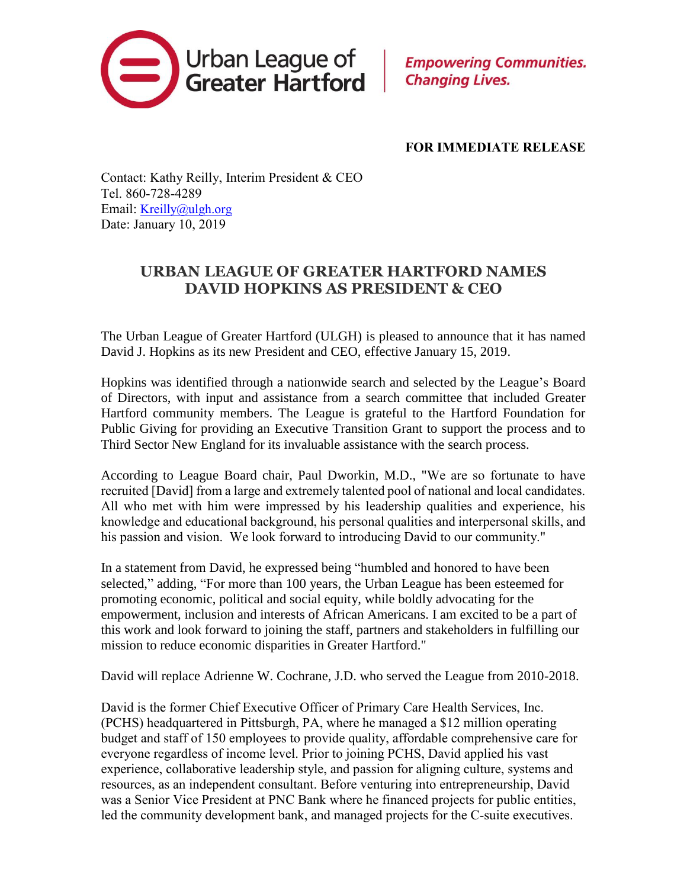

**Empowering Communities. Changing Lives.** 

## **FOR IMMEDIATE RELEASE**

Contact: Kathy Reilly, Interim President & CEO Tel. 860-728-4289 Email: [Kreilly@ulgh.org](mailto:Kreilly@ulgh.org) Date: January 10, 2019

## **URBAN LEAGUE OF GREATER HARTFORD NAMES DAVID HOPKINS AS PRESIDENT & CEO**

The Urban League of Greater Hartford (ULGH) is pleased to announce that it has named David J. Hopkins as its new President and CEO, effective January 15, 2019.

Hopkins was identified through a nationwide search and selected by the League's Board of Directors, with input and assistance from a search committee that included Greater Hartford community members. The League is grateful to the Hartford Foundation for Public Giving for providing an Executive Transition Grant to support the process and to Third Sector New England for its invaluable assistance with the search process.

According to League Board chair, Paul Dworkin, M.D., "We are so fortunate to have recruited [David] from a large and extremely talented pool of national and local candidates. All who met with him were impressed by his leadership qualities and experience, his knowledge and educational background, his personal qualities and interpersonal skills, and his passion and vision. We look forward to introducing David to our community."

In a statement from David, he expressed being "humbled and honored to have been selected," adding, "For more than 100 years, the Urban League has been esteemed for promoting economic, political and social equity, while boldly advocating for the empowerment, inclusion and interests of African Americans. I am excited to be a part of this work and look forward to joining the staff, partners and stakeholders in fulfilling our mission to reduce economic disparities in Greater Hartford."

David will replace Adrienne W. Cochrane, J.D. who served the League from 2010-2018.

David is the former Chief Executive Officer of Primary Care Health Services, Inc. (PCHS) headquartered in Pittsburgh, PA, where he managed a \$12 million operating budget and staff of 150 employees to provide quality, affordable comprehensive care for everyone regardless of income level. Prior to joining PCHS, David applied his vast experience, collaborative leadership style, and passion for aligning culture, systems and resources, as an independent consultant. Before venturing into entrepreneurship, David was a Senior Vice President at PNC Bank where he financed projects for public entities, led the community development bank, and managed projects for the C-suite executives.